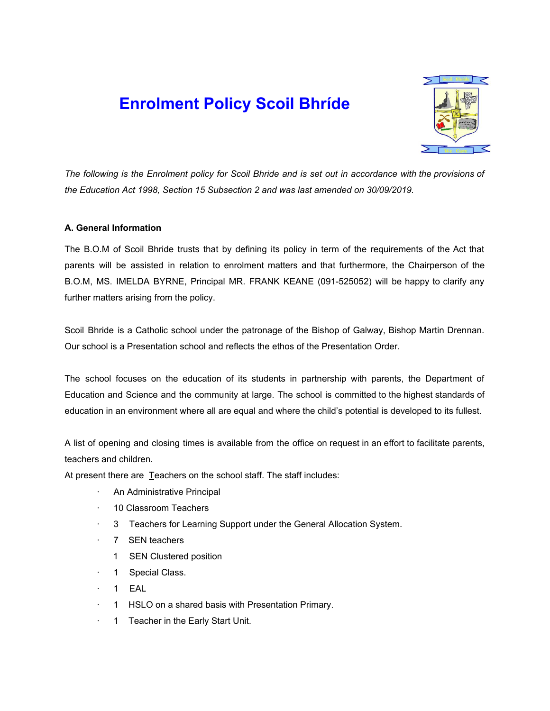# **Enrolment Policy Scoil Bhríde**



The following is the Enrolment policy for Scoil Bhride and is set out in accordance with the provisions of *the Education Act 1998, Section 15 Subsection 2 and was last amended on 30/09/2019.*

### **A. General Information**

The B.O.M of Scoil Bhride trusts that by defining its policy in term of the requirements of the Act that parents will be assisted in relation to enrolment matters and that furthermore, the Chairperson of the B.O.M, MS. IMELDA BYRNE, Principal MR. FRANK KEANE (091-525052) will be happy to clarify any further matters arising from the policy.

Scoil Bhride is a Catholic school under the patronage of the Bishop of Galway, Bishop Martin Drennan. Our school is a Presentation school and reflects the ethos of the Presentation Order.

The school focuses on the education of its students in partnership with parents, the Department of Education and Science and the community at large. The school is committed to the highest standards of education in an environment where all are equal and where the child's potential is developed to its fullest.

A list of opening and closing times is available from the office on request in an effort to facilitate parents, teachers and children.

At present there are Teachers on the school staff. The staff includes:

- An Administrative Principal
- · 10 Classroom Teachers
- 3 Teachers for Learning Support under the General Allocation System.
- 7 SEN teachers
	- 1 SEN Clustered position
- 1 Special Class.
- · 1 EAL
- · 1 HSLO on a shared basis with Presentation Primary.
- · 1 Teacher in the Early Start Unit.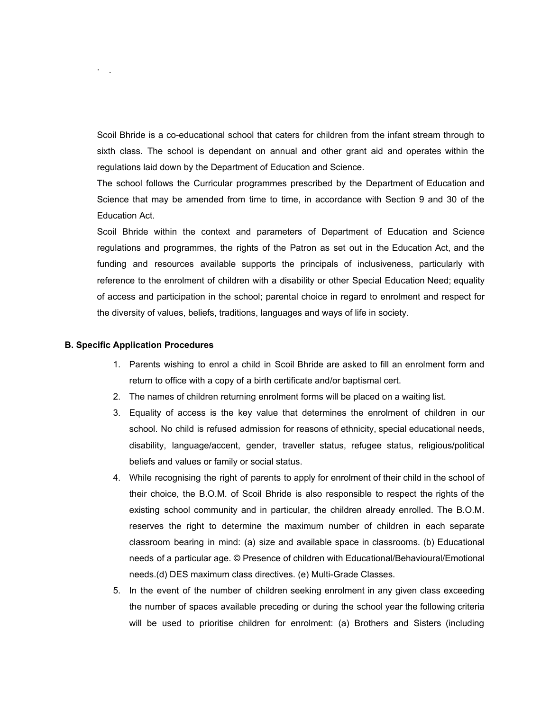Scoil Bhride is a co-educational school that caters for children from the infant stream through to sixth class. The school is dependant on annual and other grant aid and operates within the regulations laid down by the Department of Education and Science.

The school follows the Curricular programmes prescribed by the Department of Education and Science that may be amended from time to time, in accordance with Section 9 and 30 of the Education Act.

Scoil Bhride within the context and parameters of Department of Education and Science regulations and programmes, the rights of the Patron as set out in the Education Act, and the funding and resources available supports the principals of inclusiveness, particularly with reference to the enrolment of children with a disability or other Special Education Need; equality of access and participation in the school; parental choice in regard to enrolment and respect for the diversity of values, beliefs, traditions, languages and ways of life in society.

#### **B. Specific Application Procedures**

 $\cdot$  .

- 1. Parents wishing to enrol a child in Scoil Bhride are asked to fill an enrolment form and return to office with a copy of a birth certificate and/or baptismal cert.
- 2. The names of children returning enrolment forms will be placed on a waiting list.
- 3. Equality of access is the key value that determines the enrolment of children in our school. No child is refused admission for reasons of ethnicity, special educational needs, disability, language/accent, gender, traveller status, refugee status, religious/political beliefs and values or family or social status.
- 4. While recognising the right of parents to apply for enrolment of their child in the school of their choice, the B.O.M. of Scoil Bhride is also responsible to respect the rights of the existing school community and in particular, the children already enrolled. The B.O.M. reserves the right to determine the maximum number of children in each separate classroom bearing in mind: (a) size and available space in classrooms. (b) Educational needs of a particular age. © Presence of children with Educational/Behavioural/Emotional needs.(d) DES maximum class directives. (e) Multi-Grade Classes.
- 5. In the event of the number of children seeking enrolment in any given class exceeding the number of spaces available preceding or during the school year the following criteria will be used to prioritise children for enrolment: (a) Brothers and Sisters (including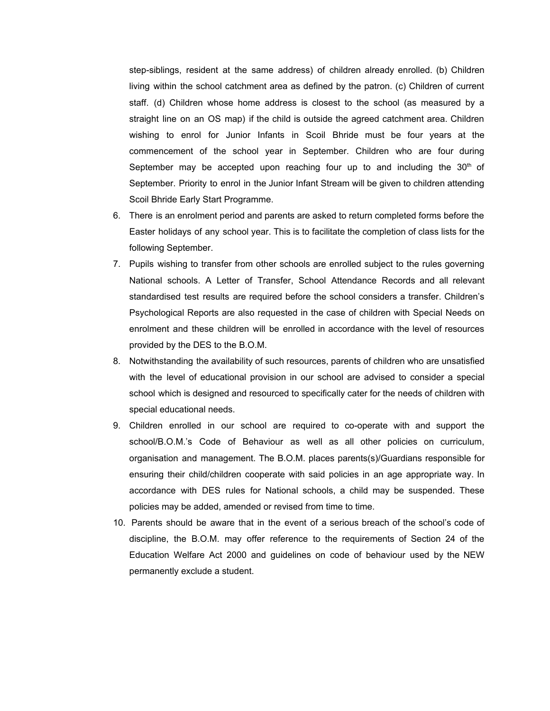step-siblings, resident at the same address) of children already enrolled. (b) Children living within the school catchment area as defined by the patron. (c) Children of current staff. (d) Children whose home address is closest to the school (as measured by a straight line on an OS map) if the child is outside the agreed catchment area. Children wishing to enrol for Junior Infants in Scoil Bhride must be four years at the commencement of the school year in September. Children who are four during September may be accepted upon reaching four up to and including the  $30<sup>th</sup>$  of September. Priority to enrol in the Junior Infant Stream will be given to children attending Scoil Bhride Early Start Programme.

- 6. There is an enrolment period and parents are asked to return completed forms before the Easter holidays of any school year. This is to facilitate the completion of class lists for the following September.
- 7. Pupils wishing to transfer from other schools are enrolled subject to the rules governing National schools. A Letter of Transfer, School Attendance Records and all relevant standardised test results are required before the school considers a transfer. Children's Psychological Reports are also requested in the case of children with Special Needs on enrolment and these children will be enrolled in accordance with the level of resources provided by the DES to the B.O.M.
- 8. Notwithstanding the availability of such resources, parents of children who are unsatisfied with the level of educational provision in our school are advised to consider a special school which is designed and resourced to specifically cater for the needs of children with special educational needs.
- 9. Children enrolled in our school are required to co-operate with and support the school/B.O.M.'s Code of Behaviour as well as all other policies on curriculum, organisation and management. The B.O.M. places parents(s)/Guardians responsible for ensuring their child/children cooperate with said policies in an age appropriate way. In accordance with DES rules for National schools, a child may be suspended. These policies may be added, amended or revised from time to time.
- 10. Parents should be aware that in the event of a serious breach of the school's code of discipline, the B.O.M. may offer reference to the requirements of Section 24 of the Education Welfare Act 2000 and guidelines on code of behaviour used by the NEW permanently exclude a student.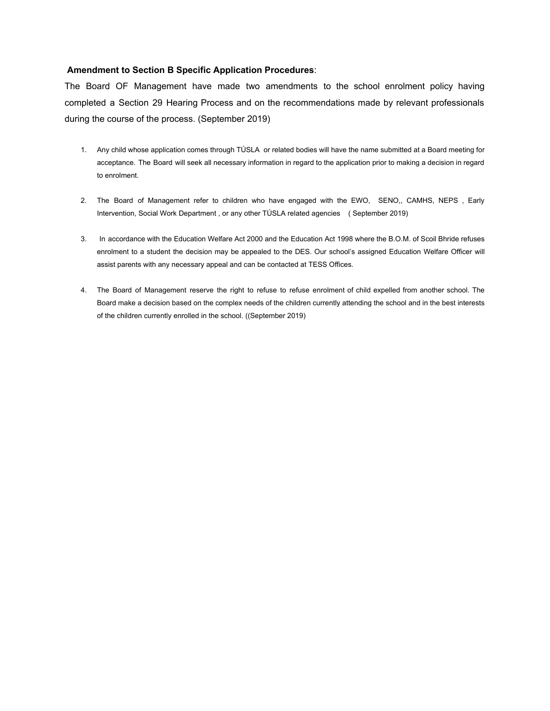#### **Amendment to Section B Specific Application Procedures**:

The Board OF Management have made two amendments to the school enrolment policy having completed a Section 29 Hearing Process and on the recommendations made by relevant professionals during the course of the process. (September 2019)

- 1. Any child whose application comes through TÚSLA or related bodies will have the name submitted at a Board meeting for acceptance. The Board will seek all necessary information in regard to the application prior to making a decision in regard to enrolment.
- 2. The Board of Management refer to children who have engaged with the EWO, SENO,, CAMHS, NEPS , Early Intervention, Social Work Department , or any other TÚSLA related agencies ( September 2019)
- 3. In accordance with the Education Welfare Act 2000 and the Education Act 1998 where the B.O.M. of Scoil Bhride refuses enrolment to a student the decision may be appealed to the DES. Our school's assigned Education Welfare Officer will assist parents with any necessary appeal and can be contacted at TESS Offices.
- 4. The Board of Management reserve the right to refuse to refuse enrolment of child expelled from another school. The Board make a decision based on the complex needs of the children currently attending the school and in the best interests of the children currently enrolled in the school. ((September 2019)